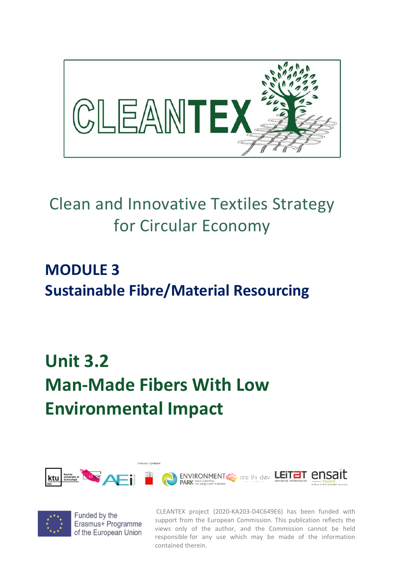

# Clean and Innovative Textiles Strategy for Circular Economy

## **MODULE 3 Sustainable Fibre/Material Resourcing**

# **Unit 3.2 Man-Made Fibers With Low Environmental Impact**





Funded by the Erasmus+ Programme of the European Union

CLEANTEX project (2020-KA203-D4C649E6) has been funded with support from the European Commission. This publication reflects the views only of the author, and the Commission cannot be held responsible for any use which may be made of the information contained therein.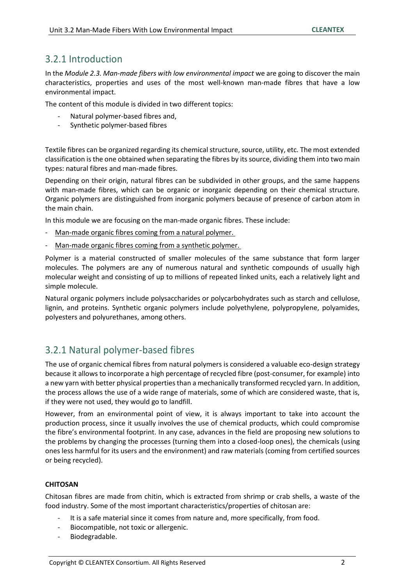### 3.2.1 Introduction

In the *Module 2.3. Man-made fibers with low environmental impact* we are going to discover the main characteristics, properties and uses of the most well-known man-made fibres that have a low environmental impact.

The content of this module is divided in two different topics:

- Natural polymer-based fibres and,
- Synthetic polymer-based fibres

Textile fibres can be organized regarding its chemical structure, source, utility, etc. The most extended classification is the one obtained when separating the fibres by its source, dividing them into two main types: natural fibres and man-made fibres.

Depending on their origin, natural fibres can be subdivided in other groups, and the same happens with man-made fibres, which can be organic or inorganic depending on their chemical structure. Organic polymers are distinguished from inorganic polymers because of presence of carbon atom in the main chain.

In this module we are focusing on the man-made organic fibres. These include:

- Man-made organic fibres coming from a natural polymer.
- Man-made organic fibres coming from a synthetic polymer.

Polymer is a material constructed of smaller molecules of the same substance that form larger molecules. The polymers are any of numerous natural and synthetic compounds of usually high molecular weight and consisting of up to millions of repeated linked units, each a relatively light and simple molecule.

Natural organic polymers include polysaccharides or polycarbohydrates such as starch and cellulose, lignin, and proteins. Synthetic organic polymers include polyethylene, polypropylene, polyamides, polyesters and polyurethanes, among others.

## 3.2.1 Natural polymer-based fibres

The use of organic chemical fibres from natural polymers is considered a valuable eco-design strategy because it allows to incorporate a high percentage of recycled fibre (post-consumer, for example) into a new yarn with better physical properties than a mechanically transformed recycled yarn. In addition, the process allows the use of a wide range of materials, some of which are considered waste, that is, if they were not used, they would go to landfill.

However, from an environmental point of view, it is always important to take into account the production process, since it usually involves the use of chemical products, which could compromise the fibre's environmental footprint. In any case, advances in the field are proposing new solutions to the problems by changing the processes (turning them into a closed-loop ones), the chemicals (using ones less harmful for its users and the environment) and raw materials (coming from certified sources or being recycled).

#### **CHITOSAN**

Chitosan fibres are made from chitin, which is extracted from shrimp or crab shells, a waste of the food industry. Some of the most important characteristics/properties of chitosan are:

- It is a safe material since it comes from nature and, more specifically, from food.
- Biocompatible, not toxic or allergenic.
- Biodegradable.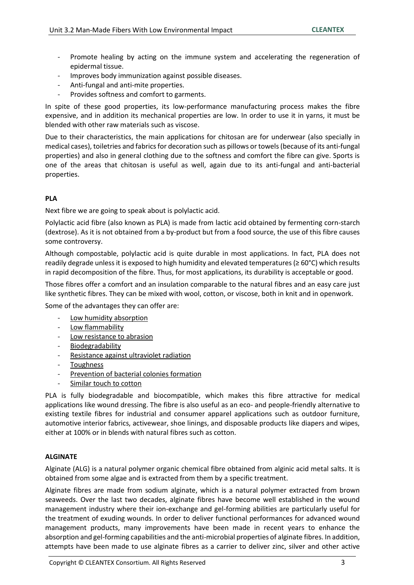- Promote healing by acting on the immune system and accelerating the regeneration of epidermal tissue.
- Improves body immunization against possible diseases.
- Anti-fungal and anti-mite properties.
- Provides softness and comfort to garments.

In spite of these good properties, its low-performance manufacturing process makes the fibre expensive, and in addition its mechanical properties are low. In order to use it in yarns, it must be blended with other raw materials such as viscose.

Due to their characteristics, the main applications for chitosan are for underwear (also specially in medical cases), toiletries and fabrics for decoration such as pillows or towels(because of its anti-fungal properties) and also in general clothing due to the softness and comfort the fibre can give. Sports is one of the areas that chitosan is useful as well, again due to its anti-fungal and anti-bacterial properties.

#### **PLA**

Next fibre we are going to speak about is polylactic acid.

Polylactic acid fibre (also known as PLA) is made from lactic acid obtained by fermenting corn-starch (dextrose). As it is not obtained from a by-product but from a food source, the use of this fibre causes some controversy.

Although compostable, polylactic acid is quite durable in most applications. In fact, PLA does not readily degrade unless it is exposed to high humidity and elevated temperatures ( $\geq 60^{\circ}$ C) which results in rapid decomposition of the fibre. Thus, for most applications, its durability is acceptable or good.

Those fibres offer a comfort and an insulation comparable to the natural fibres and an easy care just like synthetic fibres. They can be mixed with wool, cotton, or viscose, both in knit and in openwork.

Some of the advantages they can offer are:

- Low humidity absorption
- Low flammability
- Low resistance to abrasion
- Biodegradability
- Resistance against ultraviolet radiation
- **Toughness**
- Prevention of bacterial colonies formation
- Similar touch to cotton

PLA is fully biodegradable and biocompatible, which makes this fibre attractive for medical applications like wound dressing. The fibre is also useful as an eco- and people-friendly alternative to existing textile fibres for industrial and consumer apparel applications such as outdoor furniture, automotive interior fabrics, activewear, shoe linings, and disposable products like diapers and wipes, either at 100% or in blends with natural fibres such as cotton.

#### **ALGINATE**

Alginate (ALG) is a natural polymer organic chemical fibre obtained from alginic acid metal salts. It is obtained from some algae and is extracted from them by a specific treatment.

Alginate fibres are made from sodium alginate, which is a natural polymer extracted from brown seaweeds. Over the last two decades, alginate fibres have become well established in the wound management industry where their ion-exchange and gel-forming abilities are particularly useful for the treatment of exuding wounds. In order to deliver functional performances for advanced wound management products, many improvements have been made in recent years to enhance the absorption and gel-forming capabilities and the anti-microbial properties of alginate fibres. In addition, attempts have been made to use alginate fibres as a carrier to deliver zinc, silver and other active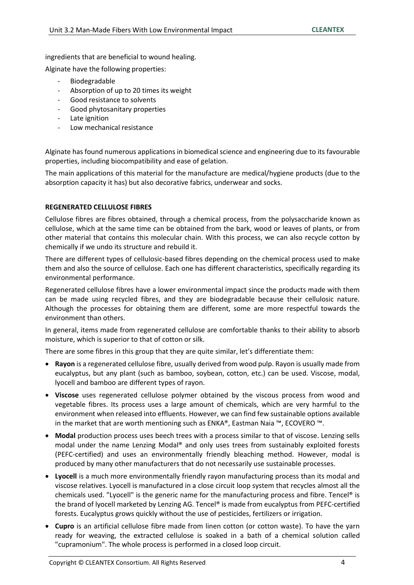ingredients that are beneficial to wound healing.

Alginate have the following properties:

- Biodegradable
- Absorption of up to 20 times its weight
- Good resistance to solvents
- Good phytosanitary properties
- Late ignition
- Low mechanical resistance

Alginate has found numerous applications in biomedical science and engineering due to its favourable properties, including biocompatibility and ease of gelation.

The main applications of this material for the manufacture are medical/hygiene products (due to the absorption capacity it has) but also decorative fabrics, underwear and socks.

#### **REGENERATED CELLULOSE FIBRES**

Cellulose fibres are fibres obtained, through a chemical process, from the polysaccharide known as cellulose, which at the same time can be obtained from the bark, wood or leaves of plants, or from other material that contains this molecular chain. With this process, we can also recycle cotton by chemically if we undo its structure and rebuild it.

There are different types of cellulosic-based fibres depending on the chemical process used to make them and also the source of cellulose. Each one has different characteristics, specifically regarding its environmental performance.

Regenerated cellulose fibres have a lower environmental impact since the products made with them can be made using recycled fibres, and they are biodegradable because their cellulosic nature. Although the processes for obtaining them are different, some are more respectful towards the environment than others.

In general, items made from regenerated cellulose are comfortable thanks to their ability to absorb moisture, which is superior to that of cotton or silk.

There are some fibres in this group that they are quite similar, let's differentiate them:

- **Rayon** is a regenerated cellulose fibre, usually derived from wood pulp. Rayon is usually made from eucalyptus, but any plant (such as bamboo, soybean, cotton, etc.) can be used. Viscose, modal, lyocell and bamboo are different types of rayon.
- **Viscose** uses regenerated cellulose polymer obtained by the viscous process from wood and vegetable fibres. Its process uses a large amount of chemicals, which are very harmful to the environment when released into effluents. However, we can find few sustainable options available in the market that are worth mentioning such as ENKA®, Eastman Naia ™, ECOVERO ™.
- **Modal** production process uses beech trees with a process similar to that of viscose. Lenzing sells modal under the name Lenzing Modal® and only uses trees from sustainably exploited forests (PEFC-certified) and uses an environmentally friendly bleaching method. However, modal is produced by many other manufacturers that do not necessarily use sustainable processes.
- **Lyocell** is a much more environmentally friendly rayon manufacturing process than its modal and viscose relatives. Lyocell is manufactured in a close circuit loop system that recycles almost all the chemicals used. "Lyocell" is the generic name for the manufacturing process and fibre. Tencel® is the brand of lyocell marketed by Lenzing AG. Tencel® is made from eucalyptus from PEFC-certified forests. Eucalyptus grows quickly without the use of pesticides, fertilizers or irrigation.
- **Cupro** is an artificial cellulose fibre made from linen cotton (or cotton waste). To have the yarn ready for weaving, the extracted cellulose is soaked in a bath of a chemical solution called "cupramonium". The whole process is performed in a closed loop circuit.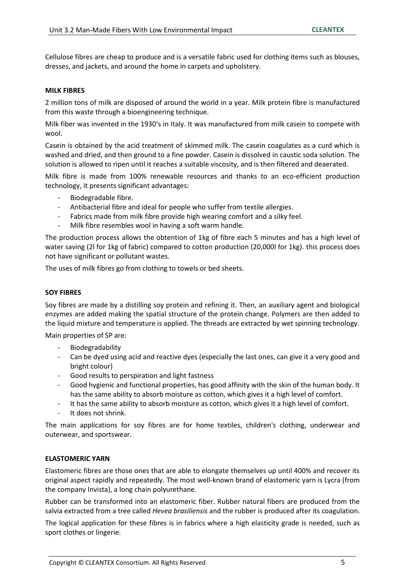Cellulose fibres are cheap to produce and is a versatile fabric used for clothing items such as blouses, dresses, and jackets, and around the home in carpets and upholstery.

#### **MILK FIBRES**

2 million tons of milk are disposed of around the world in a year. Milk protein fibre is manufactured from this waste through a bioengineering technique.

Milk fiber was invented in the 1930's in Italy. It was manufactured from milk casein to compete with wool.

Casein is obtained by the acid treatment of skimmed milk. The casein coagulates as a curd which is washed and dried, and then ground to a fine powder. Casein is dissolved in caustic soda solution. The solution is allowed to ripen until it reaches a suitable viscosity, and is then filtered and deaerated.

Milk fibre is made from 100% renewable resources and thanks to an eco-efficient production technology, it presents significant advantages:

- Biodegradable fibre.
- Antibacterial fibre and ideal for people who suffer from textile allergies.
- Fabrics made from milk fibre provide high wearing comfort and a silky feel.
- Milk fibre resembles wool in having a soft warm handle.

The production process allows the obtention of 1kg of fibre each 5 minutes and has a high level of water saving (2l for 1kg of fabric) compared to cotton production (20,000l for 1kg). this process does not have significant or pollutant wastes.

The uses of milk fibres go from clothing to towels or bed sheets.

#### **SOY FIBRES**

Soy fibres are made by a distilling soy protein and refining it. Then, an auxiliary agent and biological enzymes are added making the spatial structure of the protein change. Polymers are then added to the liquid mixture and temperature is applied. The threads are extracted by wet spinning technology.

Main properties of SP are:

- Biodegradability
- Can be dyed using acid and reactive dyes (especially the last ones, can give it a very good and bright colour)
- Good results to perspiration and light fastness
- Good hygienic and functional properties, has good affinity with the skin of the human body. It has the same ability to absorb moisture as cotton, which gives it a high level of comfort.
- It has the same ability to absorb moisture as cotton, which gives it a high level of comfort.
- It does not shrink.

The main applications for soy fibres are for home textiles, children's clothing, underwear and outerwear, and sportswear.

#### **ELASTOMERIC YARN**

Elastomeric fibres are those ones that are able to elongate themselves up until 400% and recover its original aspect rapidly and repeatedly. The most well-known brand of elastomeric yarn is Lycra (from the company Invista), a long chain polyurethane.

Rubber can be transformed into an elastomeric fiber. Rubber natural fibers are produced from the salvia extracted from a tree called *Hevea brasiliensis* and the rubber is produced after its coagulation.

The logical application for these fibres is in fabrics where a high elasticity grade is needed, such as sport clothes or lingerie.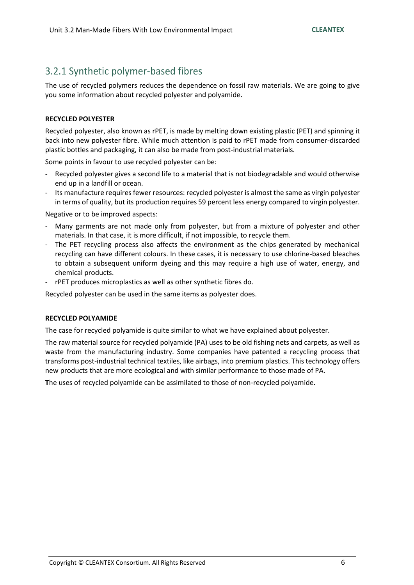## 3.2.1 Synthetic polymer-based fibres

The use of recycled polymers reduces the dependence on fossil raw materials. We are going to give you some information about recycled polyester and polyamide.

#### **RECYCLED POLYESTER**

Recycled polyester, also known as rPET, is made by melting down existing plastic (PET) and spinning it back into new polyester fibre. While much attention is paid to rPET made from consumer-discarded plastic bottles and packaging, it can also be made from post-industrial materials.

Some points in favour to use recycled polyester can be:

- Recycled polyester gives a second life to a material that is not biodegradable and would otherwise end up in a landfill or ocean.
- Its manufacture requires fewer resources: recycled polyester is almost the same as virgin polyester in terms of quality, but its production requires 59 percent less energy compared to virgin polyester.

Negative or to be improved aspects:

- Many garments are not made only from polyester, but from a mixture of polyester and other materials. In that case, it is more difficult, if not impossible, to recycle them.
- The PET recycling process also affects the environment as the chips generated by mechanical recycling can have different colours. In these cases, it is necessary to use chlorine-based bleaches to obtain a subsequent uniform dyeing and this may require a high use of water, energy, and chemical products.
- rPET produces microplastics as well as other synthetic fibres do.

Recycled polyester can be used in the same items as polyester does.

#### **RECYCLED POLYAMIDE**

The case for recycled polyamide is quite similar to what we have explained about polyester.

The raw material source for recycled polyamide (PA) uses to be old fishing nets and carpets, as well as waste from the manufacturing industry. Some companies have patented a recycling process that transforms post-industrial technical textiles, like airbags, into premium plastics. This technology offers new products that are more ecological and with similar performance to those made of PA.

**T**he uses of recycled polyamide can be assimilated to those of non-recycled polyamide.